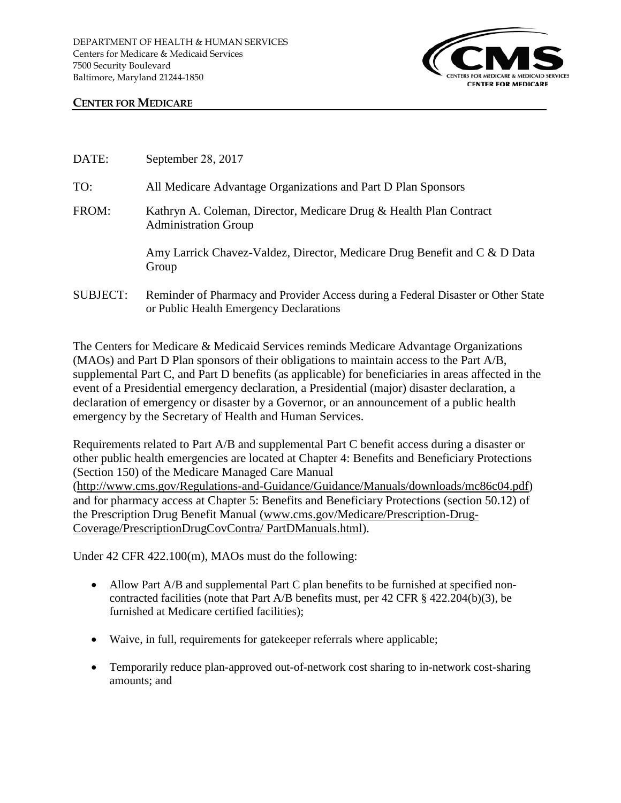

## **CENTER FOR MEDICARE**

| DATE:           | September 28, 2017                                                                                                           |
|-----------------|------------------------------------------------------------------------------------------------------------------------------|
| TO:             | All Medicare Advantage Organizations and Part D Plan Sponsors                                                                |
| FROM:           | Kathryn A. Coleman, Director, Medicare Drug & Health Plan Contract<br><b>Administration Group</b>                            |
|                 | Amy Larrick Chavez-Valdez, Director, Medicare Drug Benefit and C & D Data<br>Group                                           |
| <b>SUBJECT:</b> | Reminder of Pharmacy and Provider Access during a Federal Disaster or Other State<br>or Public Health Emergency Declarations |

The Centers for Medicare & Medicaid Services reminds Medicare Advantage Organizations (MAOs) and Part D Plan sponsors of their obligations to maintain access to the Part A/B, supplemental Part C, and Part D benefits (as applicable) for beneficiaries in areas affected in the event of a Presidential emergency declaration, a Presidential (major) disaster declaration, a declaration of emergency or disaster by a Governor, or an announcement of a public health emergency by the Secretary of Health and Human Services.

Requirements related to Part A/B and supplemental Part C benefit access during a disaster or other public health emergencies are located at Chapter 4: Benefits and Beneficiary Protections (Section 150) of the Medicare Managed Care Manual [\(http://www.cms.gov/Regulations-and-Guidance/Guidance/Manuals/downloads/mc86c04.pdf\)](http://www.cms.gov/Regulations-and-Guidance/Guidance/Manuals/downloads/mc86c04.pdf) and for pharmacy access at Chapter 5: Benefits and Beneficiary Protections (section 50.12) of the Prescription Drug Benefit Manual [\(www.cms.gov/Medicare/Prescription-Drug-](http://www.cms.gov/Medicare/Prescription-Drug-Coverage/PrescriptionDrugCovContra/PartDManuals.html)[Coverage/PrescriptionDrugCovContra/ PartDManuals.html\)](http://www.cms.gov/Medicare/Prescription-Drug-Coverage/PrescriptionDrugCovContra/PartDManuals.html).

Under 42 CFR 422.100(m), MAOs must do the following:

- Allow Part A/B and supplemental Part C plan benefits to be furnished at specified noncontracted facilities (note that Part A/B benefits must, per 42 CFR § 422.204(b)(3), be furnished at Medicare certified facilities);
- Waive, in full, requirements for gate keeper referrals where applicable;
- Temporarily reduce plan-approved out-of-network cost sharing to in-network cost-sharing amounts; and